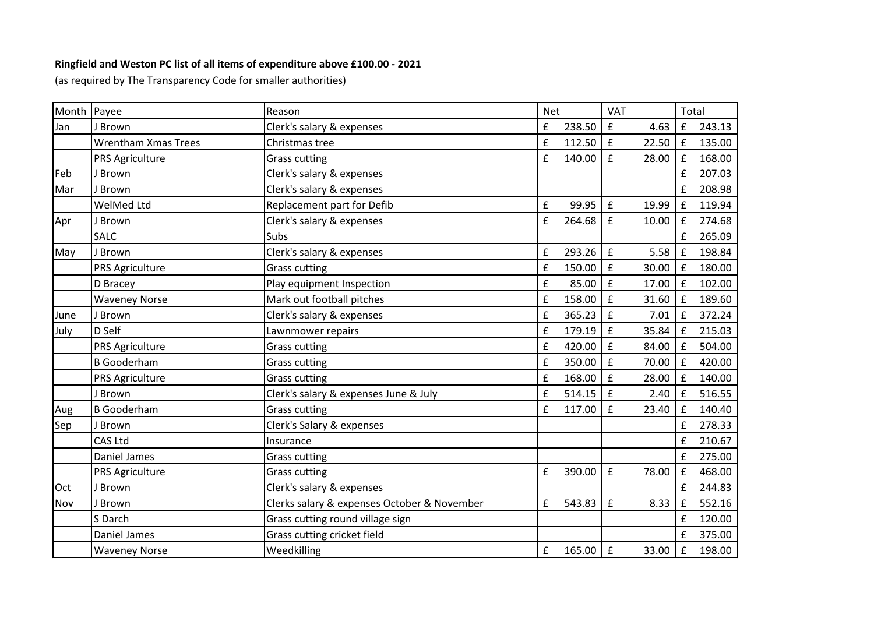## **Ringfield and Weston PC list of all items of expenditure above £100.00 - 2021**

(as required by The Transparency Code for smaller authorities)

| Month Payee |                            | Reason                                      | <b>Net</b> |        | <b>VAT</b>         |       | Total              |        |
|-------------|----------------------------|---------------------------------------------|------------|--------|--------------------|-------|--------------------|--------|
| Jan         | J Brown                    | Clerk's salary & expenses                   | £          | 238.50 | $\mathbf f$        | 4.63  | $\mathbf f$        | 243.13 |
|             | <b>Wrentham Xmas Trees</b> | Christmas tree                              | £          | 112.50 | $\pmb{\mathsf{f}}$ | 22.50 | $\mathbf f$        | 135.00 |
|             | PRS Agriculture            | <b>Grass cutting</b>                        | £          | 140.00 | £                  | 28.00 | £                  | 168.00 |
| Feb         | J Brown                    | Clerk's salary & expenses                   |            |        |                    |       | £                  | 207.03 |
| Mar         | J Brown                    | Clerk's salary & expenses                   |            |        |                    |       | £                  | 208.98 |
|             | WelMed Ltd                 | Replacement part for Defib                  | £          | 99.95  | $\mathbf f$        | 19.99 | $\pounds$          | 119.94 |
| Apr         | J Brown                    | Clerk's salary & expenses                   | £          | 264.68 | £                  | 10.00 | f                  | 274.68 |
|             | <b>SALC</b>                | Subs                                        |            |        |                    |       | £                  | 265.09 |
| May         | J Brown                    | Clerk's salary & expenses                   | £          | 293.26 | $\pmb{\mathsf{f}}$ | 5.58  | $\mathbf f$        | 198.84 |
|             | PRS Agriculture            | <b>Grass cutting</b>                        | £          | 150.00 | £                  | 30.00 | $\pounds$          | 180.00 |
|             | D Bracey                   | Play equipment Inspection                   | £          | 85.00  | $\mathbf f$        | 17.00 | $\mathbf f$        | 102.00 |
|             | <b>Waveney Norse</b>       | Mark out football pitches                   | £          | 158.00 | $\mathbf f$        | 31.60 | $\mathbf f$        | 189.60 |
| June        | J Brown                    | Clerk's salary & expenses                   | £          | 365.23 | £                  | 7.01  | $\mathbf f$        | 372.24 |
| July        | D Self                     | Lawnmower repairs                           | £          | 179.19 | £                  | 35.84 | $\mathbf f$        | 215.03 |
|             | <b>PRS Agriculture</b>     | <b>Grass cutting</b>                        | £          | 420.00 | £                  | 84.00 | $\mathbf f$        | 504.00 |
|             | <b>B</b> Gooderham         | <b>Grass cutting</b>                        | £          | 350.00 | $\mathbf f$        | 70.00 | $\mathbf f$        | 420.00 |
|             | <b>PRS Agriculture</b>     | <b>Grass cutting</b>                        | £          | 168.00 | £                  | 28.00 | $\mathbf f$        | 140.00 |
|             | J Brown                    | Clerk's salary & expenses June & July       | £          | 514.15 | £                  | 2.40  | $\mathbf f$        | 516.55 |
| Aug         | <b>B</b> Gooderham         | <b>Grass cutting</b>                        | £          | 117.00 | £                  | 23.40 | $\mathbf f$        | 140.40 |
| Sep         | J Brown                    | Clerk's Salary & expenses                   |            |        |                    |       | £                  | 278.33 |
|             | CAS Ltd                    | Insurance                                   |            |        |                    |       | £                  | 210.67 |
|             | Daniel James               | <b>Grass cutting</b>                        |            |        |                    |       | £                  | 275.00 |
|             | PRS Agriculture            | <b>Grass cutting</b>                        | £          | 390.00 | $\pmb{\mathsf{f}}$ | 78.00 | $\mathbf f$        | 468.00 |
| Oct         | J Brown                    | Clerk's salary & expenses                   |            |        |                    |       | £                  | 244.83 |
| Nov         | J Brown                    | Clerks salary & expenses October & November | £          | 543.83 | $\mathbf f$        | 8.33  | £                  | 552.16 |
|             | S Darch                    | Grass cutting round village sign            |            |        |                    |       | £                  | 120.00 |
|             | Daniel James               | Grass cutting cricket field                 |            |        |                    |       | £                  | 375.00 |
|             | <b>Waveney Norse</b>       | Weedkilling                                 | £          | 165.00 | $\mathbf f$        | 33.00 | $\pmb{\mathsf{f}}$ | 198.00 |